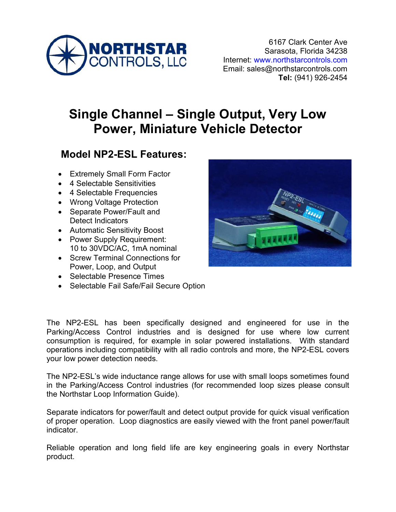

# **Single Channel – Single Output, Very Low Power, Miniature Vehicle Detector**

## **Model NP2-ESL Features:**

- Extremely Small Form Factor
- 4 Selectable Sensitivities
- 4 Selectable Frequencies
- Wrong Voltage Protection
- Separate Power/Fault and Detect Indicators
- Automatic Sensitivity Boost
- Power Supply Requirement: 10 to 30VDC/AC, 1mA nominal
- Screw Terminal Connections for Power, Loop, and Output
- Selectable Presence Times
- Selectable Fail Safe/Fail Secure Option



The NP2-ESL has been specifically designed and engineered for use in the Parking/Access Control industries and is designed for use where low current consumption is required, for example in solar powered installations. With standard operations including compatibility with all radio controls and more, the NP2-ESL covers your low power detection needs.

The NP2-ESL's wide inductance range allows for use with small loops sometimes found in the Parking/Access Control industries (for recommended loop sizes please consult the Northstar Loop Information Guide).

Separate indicators for power/fault and detect output provide for quick visual verification of proper operation. Loop diagnostics are easily viewed with the front panel power/fault indicator.

Reliable operation and long field life are key engineering goals in every Northstar product.